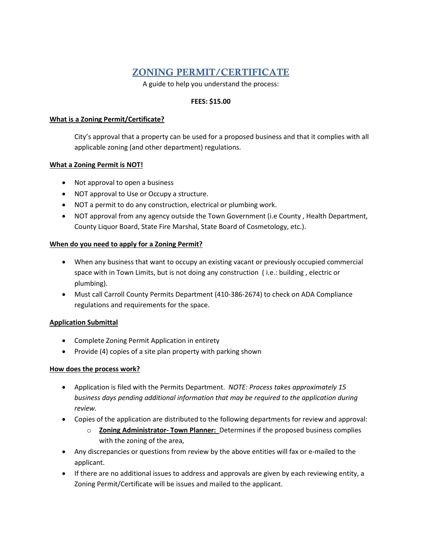# ZONING PERMIT/CERTIFICATE

A guide to help you understand the process:

#### **FEES: \$15.00**

#### **What is a Zoning Permit/Certificate?**

City's approval that a property can be used for a proposed business and that it complies with all applicable zoning (and other department) regulations.

# **What a Zoning Permit is NOT!**

- Not approval to open a business
- NOT approval to Use or Occupy a structure.
- NOT a permit to do any construction, electrical or plumbing work.
- NOT approval from any agency outside the Town Government (i.e County , Health Department, County Liquor Board, State Fire Marshal, State Board of Cosmetology, etc.).

#### **When do you need to apply for a Zoning Permit?**

- When any business that want to occupy an existing vacant or previously occupied commercial space with in Town Limits, but is not doing any construction ( i.e.: building , electric or plumbing).
- Must call Carroll County Permits Department (410-386-2674) to check on ADA Compliance regulations and requirements for the space.

# **Application Submittal**

- Complete Zoning Permit Application in entirety
- Provide (4) copies of a site plan property with parking shown

# **How does the process work?**

- Application is filed with the Permits Department. *NOTE: Process takes approximately 15 business days pending additional information that may be required to the application during review.*
- Copies of the application are distributed to the following departments for review and approval:
	- o **Zoning Administrator- Town Planner:** Determines if the proposed business complies with the zoning of the area,
- Any discrepancies or questions from review by the above entities will fax or e-mailed to the applicant.
- If there are no additional issues to address and approvals are given by each reviewing entity, a Zoning Permit/Certificate will be issues and mailed to the applicant.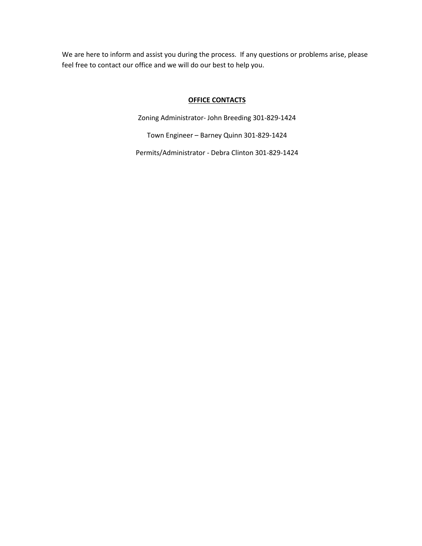We are here to inform and assist you during the process. If any questions or problems arise, please feel free to contact our office and we will do our best to help you.

#### **OFFICE CONTACTS**

Zoning Administrator- John Breeding 301-829-1424

Town Engineer – Barney Quinn 301-829-1424

Permits/Administrator - Debra Clinton 301-829-1424